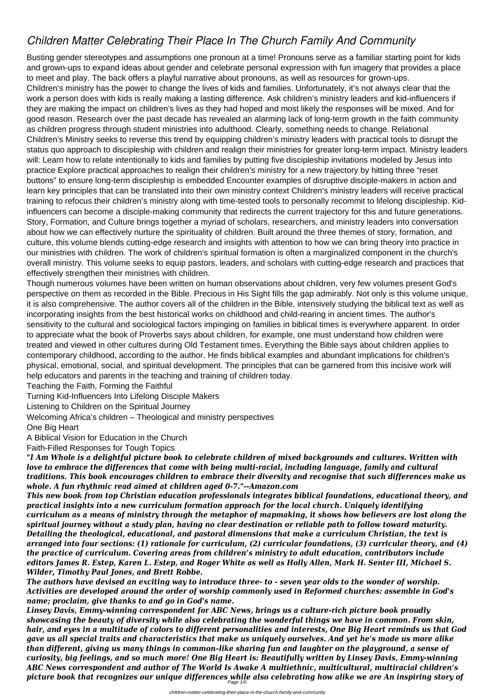## *Children Matter Celebrating Their Place In The Church Family And Community*

Busting gender stereotypes and assumptions one pronoun at a time! Pronouns serve as a familiar starting point for kids and grown-ups to expand ideas about gender and celebrate personal expression with fun imagery that provides a place to meet and play. The back offers a playful narrative about pronouns, as well as resources for grown-ups. Children's ministry has the power to change the lives of kids and families. Unfortunately, it's not always clear that the work a person does with kids is really making a lasting difference. Ask children's ministry leaders and kid-influencers if they are making the impact on children's lives as they had hoped and most likely the responses will be mixed. And for good reason. Research over the past decade has revealed an alarming lack of long-term growth in the faith community as children progress through student ministries into adulthood. Clearly, something needs to change. Relational Children's Ministry seeks to reverse this trend by equipping children's ministry leaders with practical tools to disrupt the status quo approach to discipleship with children and realign their ministries for greater long-term impact. Ministry leaders will: Learn how to relate intentionally to kids and families by putting five discipleship invitations modeled by Jesus into practice Explore practical approaches to realign their children's ministry for a new trajectory by hitting three "reset buttons" to ensure long-term discipleship is embedded Encounter examples of disruptive disciple-makers in action and learn key principles that can be translated into their own ministry context Children's ministry leaders will receive practical training to refocus their children's ministry along with time-tested tools to personally recommit to lifelong discipleship. Kidinfluencers can become a disciple-making community that redirects the current trajectory for this and future generations. Story, Formation, and Culture brings together a myriad of scholars, researchers, and ministry leaders into conversation about how we can effectively nurture the spirituality of children. Built around the three themes of story, formation, and culture, this volume blends cutting-edge research and insights with attention to how we can bring theory into practice in our ministries with children. The work of children's spiritual formation is often a marginalized component in the church's overall ministry. This volume seeks to equip pastors, leaders, and scholars with cutting-edge research and practices that effectively strengthen their ministries with children.

Though numerous volumes have been written on human observations about children, very few volumes present God's perspective on them as recorded in the Bible. Precious in His Sight fills the gap admirably. Not only is this volume unique, it is also comprehensive. The author covers all of the children in the Bible, intensively studying the biblical text as well as incorporating insights from the best historical works on childhood and child-rearing in ancient times. The author's sensitivity to the cultural and sociological factors impinging on families in biblical times is everywhere apparent. In order to appreciate what the book of Proverbs says about children, for example, one must understand how children were treated and viewed in other cultures during Old Testament times. Everything the Bible says about children applies to contemporary childhood, according to the author. He finds biblical examples and abundant implications for children's physical, emotional, social, and spiritual development. The principles that can be garnered from this incisive work will help educators and parents in the teaching and training of children today.

Teaching the Faith, Forming the Faithful

Turning Kid-Influencers Into Lifelong Disciple Makers

Listening to Children on the Spiritual Journey

Welcoming Africa's children – Theological and ministry perspectives

One Big Heart

A Biblical Vision for Education in the Church

Faith-Filled Responses for Tough Topics

*"I Am Whole is a delightful picture book to celebrate children of mixed backgrounds and cultures. Written with love to embrace the differences that come with being multi-racial, including language, family and cultural traditions. This book encourages children to embrace their diversity and recognise that such differences make us whole. A fun rhythmic read aimed at children aged 0-7."--Amazon.com*

*This new book from top Christian education professionals integrates biblical foundations, educational theory, and practical insights into a new curriculum formation approach for the local church. Uniquely identifying curriculum as a means of ministry through the metaphor of mapmaking, it shows how believers are lost along the spiritual journey without a study plan, having no clear destination or reliable path to follow toward maturity. Detailing the theological, educational, and pastoral dimensions that make a curriculum Christian, the text is arranged into four sections: (1) rationale for curriculum, (2) curricular foundations, (3) curricular theory, and (4) the practice of curriculum. Covering areas from children's ministry to adult education, contributors include editors James R. Estep, Karen L. Estep, and Roger White as well as Holly Allen, Mark H. Senter III, Michael S. Wilder, Timothy Paul Jones, and Brett Robbe. The authors have devised an exciting way to introduce three- to - seven year olds to the wonder of worship. Activities are developed around the order of worship commonly used in Reformed churches: assemble in God's name; proclaim, give thanks to and go in God's name. Linsey Davis, Emmy-winning correspondent for ABC News, brings us a culture-rich picture book proudly showcasing the beauty of diversity while also celebrating the wonderful things we have in common. From skin, hair, and eyes in a multitude of colors to different personalities and interests, One Big Heart reminds us that God gave us all special traits and characteristics that make us uniquely ourselves. And yet he's made us more alike than different, giving us many things in common–like sharing fun and laughter on the playground, a sense of curiosity, big feelings, and so much more! One Big Heart is: Beautifully written by Linsey Davis, Emmy-winning ABC News correspondent and author of The World Is Awake A multiethnic, multicultural, multiracial children's picture book that recognizes our unique differences while also celebrating how alike we are An inspiring story of* Page 1/6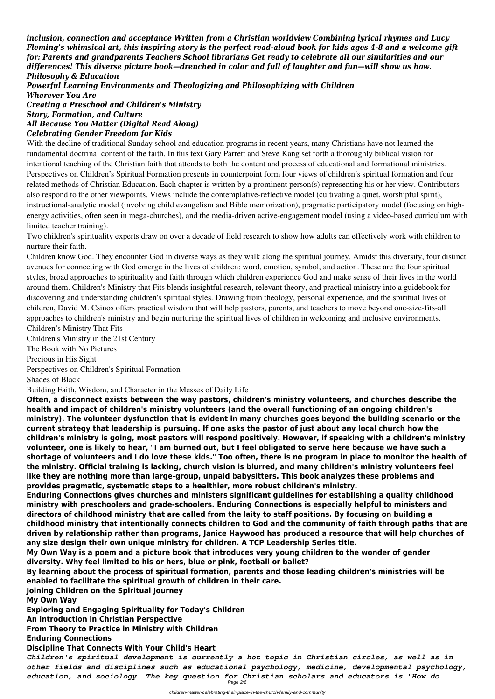*inclusion, connection and acceptance Written from a Christian worldview Combining lyrical rhymes and Lucy Fleming's whimsical art, this inspiring story is the perfect read-aloud book for kids ages 4-8 and a welcome gift for: Parents and grandparents Teachers School librarians Get ready to celebrate all our similarities and our differences! This diverse picture book—drenched in color and full of laughter and fun—will show us how. Philosophy & Education*

*Powerful Learning Environments and Theologizing and Philosophizing with Children Wherever You Are Creating a Preschool and Children's Ministry Story, Formation, and Culture All Because You Matter (Digital Read Along)*

## *Celebrating Gender Freedom for Kids*

With the decline of traditional Sunday school and education programs in recent years, many Christians have not learned the fundamental doctrinal content of the faith. In this text Gary Parrett and Steve Kang set forth a thoroughly biblical vision for intentional teaching of the Christian faith that attends to both the content and process of educational and formational ministries. Perspectives on Children's Spiritual Formation presents in counterpoint form four views of children's spiritual formation and four related methods of Christian Education. Each chapter is written by a prominent person(s) representing his or her view. Contributors also respond to the other viewpoints. Views include the contemplative-reflective model (cultivating a quiet, worshipful spirit), instructional-analytic model (involving child evangelism and Bible memorization), pragmatic participatory model (focusing on highenergy activities, often seen in mega-churches), and the media-driven active-engagement model (using a video-based curriculum with limited teacher training).

Two children's spirituality experts draw on over a decade of field research to show how adults can effectively work with children to nurture their faith.

Children know God. They encounter God in diverse ways as they walk along the spiritual journey. Amidst this diversity, four distinct avenues for connecting with God emerge in the lives of children: word, emotion, symbol, and action. These are the four spiritual styles, broad approaches to spirituality and faith through which children experience God and make sense of their lives in the world around them. Children's Ministry that Fits blends insightful research, relevant theory, and practical ministry into a guidebook for discovering and understanding children's spiritual styles. Drawing from theology, personal experience, and the spiritual lives of children, David M. Csinos offers practical wisdom that will help pastors, parents, and teachers to move beyond one-size-fits-all approaches to children's ministry and begin nurturing the spiritual lives of children in welcoming and inclusive environments. Children's Ministry That Fits

Children's Ministry in the 21st Century

The Book with No Pictures

Precious in His Sight

Perspectives on Children's Spiritual Formation

Shades of Black

Building Faith, Wisdom, and Character in the Messes of Daily Life

**Often, a disconnect exists between the way pastors, children's ministry volunteers, and churches describe the health and impact of children's ministry volunteers (and the overall functioning of an ongoing children's ministry). The volunteer dysfunction that is evident in many churches goes beyond the building scenario or the current strategy that leadership is pursuing. If one asks the pastor of just about any local church how the children's ministry is going, most pastors will respond positively. However, if speaking with a children's ministry volunteer, one is likely to hear, "I am burned out, but I feel obligated to serve here because we have such a shortage of volunteers and I do love these kids." Too often, there is no program in place to monitor the health of the ministry. Official training is lacking, church vision is blurred, and many children's ministry volunteers feel like they are nothing more than large-group, unpaid babysitters. This book analyzes these problems and provides pragmatic, systematic steps to a healthier, more robust children's ministry.**

**Enduring Connections gives churches and ministers significant guidelines for establishing a quality childhood ministry with preschoolers and grade-schoolers. Enduring Connections is especially helpful to ministers and directors of childhood ministry that are called from the laity to staff positions. By focusing on building a childhood ministry that intentionally connects children to God and the community of faith through paths that are driven by relationship rather than programs, Janice Haywood has produced a resource that will help churches of any size design their own unique ministry for children. A TCP Leadership Series title. My Own Way is a poem and a picture book that introduces very young children to the wonder of gender diversity. Why feel limited to his or hers, blue or pink, football or ballet? By learning about the process of spiritual formation, parents and those leading children's ministries will be enabled to facilitate the spiritual growth of children in their care. Joining Children on the Spiritual Journey My Own Way Exploring and Engaging Spirituality for Today's Children**

**An Introduction in Christian Perspective**

**From Theory to Practice in Ministry with Children Enduring Connections**

**Discipline That Connects With Your Child's Heart**

*Children's spiritual development is currently a hot topic in Christian circles, as well as in other fields and disciplines such as educational psychology, medicine, developmental psychology, education, and sociology. The key question for Christian scholars and educators is "How do* Page 2/6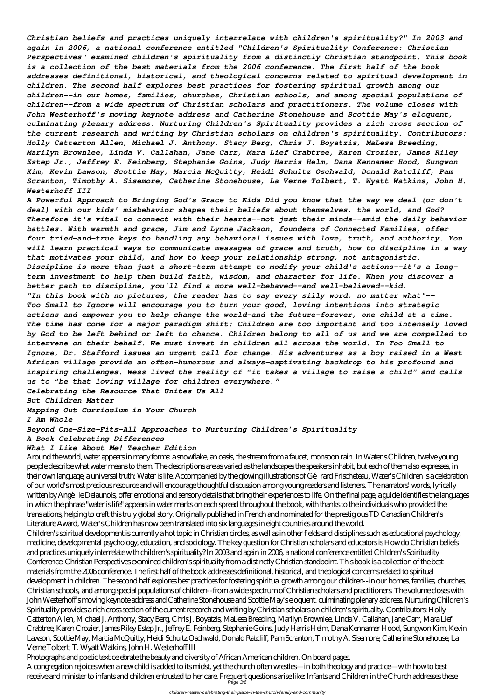*Christian beliefs and practices uniquely interrelate with children's spirituality?" In 2003 and again in 2006, a national conference entitled "Children's Spirituality Conference: Christian Perspectives" examined children's spirituality from a distinctly Christian standpoint. This book is a collection of the best materials from the 2006 conference. The first half of the book addresses definitional, historical, and theological concerns related to spiritual development in children. The second half explores best practices for fostering spiritual growth among our children--in our homes, families, churches, Christian schools, and among special populations of children--from a wide spectrum of Christian scholars and practitioners. The volume closes with John Westerhoff's moving keynote address and Catherine Stonehouse and Scottie May's eloquent, culminating plenary address. Nurturing Children's Spirituality provides a rich cross section of the current research and writing by Christian scholars on children's spirituality. Contributors: Holly Catterton Allen, Michael J. Anthony, Stacy Berg, Chris J. Boyatzis, MaLesa Breeding, Marilyn Brownlee, Linda V. Callahan, Jane Carr, Mara Lief Crabtree, Karen Crozier, James Riley Estep Jr., Jeffrey E. Feinberg, Stephanie Goins, Judy Harris Helm, Dana Kennamer Hood, Sungwon Kim, Kevin Lawson, Scottie May, Marcia McQuitty, Heidi Schultz Oschwald, Donald Ratcliff, Pam Scranton, Timothy A. Sisemore, Catherine Stonehouse, La Verne Tolbert, T. Wyatt Watkins, John H. Westerhoff III*

*A Powerful Approach to Bringing God's Grace to Kids Did you know that the way we deal (or don't deal) with our kids' misbehavior shapes their beliefs about themselves, the world, and God? Therefore it's vital to connect with their hearts--not just their minds--amid the daily behavior battles. With warmth and grace, Jim and Lynne Jackson, founders of Connected Families, offer four tried-and-true keys to handling any behavioral issues with love, truth, and authority. You will learn practical ways to communicate messages of grace and truth, how to discipline in a way that motivates your child, and how to keep your relationship strong, not antagonistic. Discipline is more than just a short-term attempt to modify your child's actions--it's a longterm investment to help them build faith, wisdom, and character for life. When you discover a better path to discipline, you'll find a more well-behaved--and well-believed--kid. "In this book with no pictures, the reader has to say every silly word, no matter what"-- Too Small to Ignore will encourage you to turn your good, loving intentions into strategic actions and empower you to help change the world–and the future–forever, one child at a time. The time has come for a major paradigm shift: Children are too important and too intensely loved by God to be left behind or left to chance. Children belong to all of us and we are compelled to intervene on their behalf. We must invest in children all across the world. In Too Small to Ignore, Dr. Stafford issues an urgent call for change. His adventures as a boy raised in a West African village provide an often-humorous and always-captivating backdrop to his profound and inspiring challenges. Wess lived the reality of "it takes a village to raise a child" and calls us to "be that loving village for children everywhere."*

*Celebrating the Resource That Unites Us All*

*But Children Matter*

*Mapping Out Curriculum in Your Church*

*I Am Whole*

*Beyond One-Size-Fits-All Approaches to Nurturing Children's Spirituality*

*A Book Celebrating Differences*

## *What I Like About Me! Teacher Edition*

Around the world, water appears in many forms: a snowflake, an oasis, the stream from a faucet, monsoon rain. In Water's Children, twelve young people describe what water means to them. The descriptions are as varied as the landscapes the speakers inhabit, but each of them also expresses, in their own language, a universal truth: Water is life. Accompanied by the glowing illustrations of Gérard Frischeteau, Water's Children is a celebration of our world's most precious resource and will encourage thoughtful discussion among young readers and listeners. The narrators' words, lyrically written by Angèle Delaunois, offer emotional and sensory details that bring their experiences to life. On the final page, a guide identifies the languages in which the phrase "water is life" appears in water marks on each spread throughout the book, with thanks to the individuals who provided the translations, helping to craft this truly global story. Originally published in French and nominated for the prestigious TD Canadian Children's Literature Award, Water's Children has now been translated into six languages in eight countries around the world. Children's spiritual development is currently a hot topic in Christian circles, as well as in other fields and disciplines such as educational psychology, medicine, developmental psychology, education, and sociology. The key question for Christian scholars and educators is How do Christian beliefs and practices uniquely interrelate with children's spirituality? In 2003 and again in 2006, a national conference entitled Children's Spirituality Conference: Christian Perspectives examined children's spirituality from a distinctly Christian standpoint. This book is a collection of the best materials from the 2006 conference. The first half of the book addresses definitional, historical, and theological concerns related to spiritual development in children. The second half explores best practices for fostering spiritual growth among our children--in our homes, families, churches, Christian schools, and among special populations of children--from a wide spectrum of Christian scholars and practitioners. The volume closes with John Westerhoff's moving keynote address and Catherine Stonehouse and Scottie May's eloquent, culminating plenary address. Nurturing Children's Spirituality provides a rich cross section of the current research and writing by Christian scholars on children's spirituality. Contributors: Holly Catterton Allen, Michael J. Anthony, Stacy Berg, Chris J. Boyatzis, MaLesa Breeding, Marilyn Brownlee, Linda V. Callahan, Jane Carr, Mara Lief Crabtree, Karen Crozier, James Riley Estep Jr., Jeffrey E. Feinberg, Stephanie Goins, Judy Harris Helm, Dana Kennamer Hood, Sungwon Kim, Kevin Lawson, Scottie May, Marcia McQuitty, Heidi Schultz Oschwald, Donald Ratcliff, Pam Scranton, Timothy A. Sisemore, Catherine Stonehouse, La Verne Tolbert, T. Wyatt Watkins, John H. Westerhoff III Photographs and poetic text celebrate the beauty and diversity of African American children. On board pages. A congregation rejoices when a new child is added to its midst, yet the church often wrestles—in both theology and practice—with how to best receive and minister to infants and children entrusted to her care. Frequent questions arise like: Infants and Children in the Church addresses these<br>Page 3/6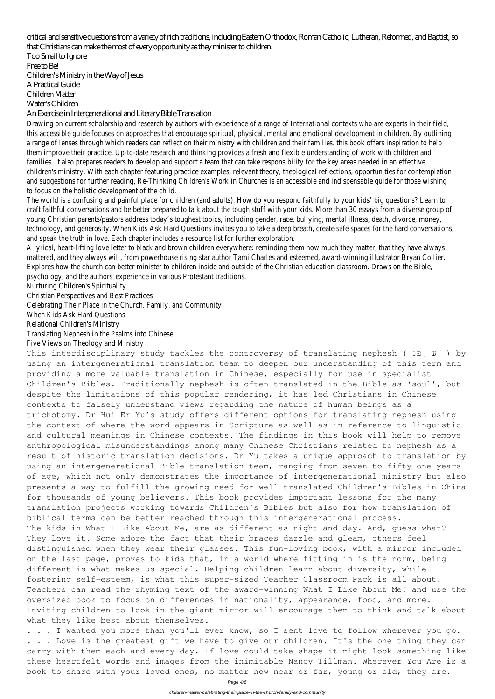critical and sensitive questions from a variety of rich traditions, including Eastern Orthodox, Roman Catholic, Lutheran, Reformed, and Baptist, so that Christians can make the most of every opportunity as they minister to children.

Too Small to Ignore Free to Be! Children's Ministry in the Way of Jesus A Practical Guide Children Matter Water's Children

An Exercise in Intergenerational and Literary Bible Translation

Drawing on current scholarship and research by authors with experience of a range of International contexts who are experts in their field, this accessible guide focuses on approaches that encourage spiritual, physical, mental and emotional development in children. By outlining a range of lenses through which readers can reflect on their ministry with children and their families. this book offers inspiration to help them improve their practice. Up-to-date research and thinking provides a fresh and flexible understanding of work with children and families. It also prepares readers to develop and support a team that can take responsibility for the key areas needed in an effective children's ministry. With each chapter featuring practice examples, relevant theory, theological reflections, opportunities for contemplation and suggestions for further reading, Re-Thinking Children's Work in Churches is an accessible and indispensable guide for those wishing to focus on the holistic development of the child.

The world is a confusing and painful place for children (and adults). How do you respond faithfully to your kids' big questions? Learn to craft faithful conversations and be better prepared to talk about the tough stuff with your kids. More than 30 essays from a diverse group of young Christian parents/pastors address today's toughest topics, including gender, race, bullying, mental illness, death, divorce, money, technology, and generosity. When Kids Ask Hard Questions invites you to take a deep breath, create safe spaces for the hard conversations, and speak the truth in love. Each chapter includes a resource list for further exploration.

A lyrical, heart-lifting love letter to black and brown children everywhere: reminding them how much they matter, that they have always mattered, and they always will, from powerhouse rising star author Tami Charles and esteemed, award-winning illustrator Bryan Collier. Explores how the church can better minister to children inside and outside of the Christian education classroom. Draws on the Bible, psychology, and the authors' experience in various Protestant traditions.

This interdisciplinary study tackles the controversy of translating nephesh ( פנֵ using an intergenerational translation team to deepen our understanding of this term and providing a more valuable translation in Chinese, especially for use in specialist Children's Bibles. Traditionally nephesh is often translated in the Bible as 'soul', but despite the limitations of this popular rendering, it has led Christians in Chinese contexts to falsely understand views regarding the nature of human beings as a trichotomy. Dr Hui Er Yu's study offers different options for translating nephesh using the context of where the word appears in Scripture as well as in reference to linguistic and cultural meanings in Chinese contexts. The findings in this book will help to remove anthropological misunderstandings among many Chinese Christians related to nephesh as a result of historic translation decisions. Dr Yu takes a unique approach to translation by using an intergenerational Bible translation team, ranging from seven to fifty-one years of age, which not only demonstrates the importance of intergenerational ministry but also presents a way to fulfill the growing need for well-translated Children's Bibles in China for thousands of young believers. This book provides important lessons for the many translation projects working towards Children's Bibles but also for how translation of biblical terms can be better reached through this intergenerational process. The kids in What I Like About Me, are as different as night and day. And, guess what? They love it. Some adore the fact that their braces dazzle and gleam, others feel distinguished when they wear their glasses. This fun-loving book, with a mirror included on the last page, proves to kids that, in a world where fitting in is the norm, being different is what makes us special. Helping children learn about diversity, while fostering self-esteem, is what this super-sized Teacher Classroom Pack is all about. Teachers can read the rhyming text of the award-winning What I Like About Me! and use the oversized book to focus on differences in nationality, appearance, food, and more. Inviting children to look in the giant mirror will encourage them to think and talk about what they like best about themselves.

Nurturing Children's Spirituality

Christian Perspectives and Best Practices

Celebrating Their Place in the Church, Family, and Community

When Kids Ask Hard Questions

Relational Children's Ministry

Translating Nephesh in the Psalms into Chinese

. . . I wanted you more than you'll ever know, so I sent love to follow wherever you go. . . . Love is the greatest gift we have to give our children. It's the one thing they can carry with them each and every day. If love could take shape it might look something like these heartfelt words and images from the inimitable Nancy Tillman. Wherever You Are is a book to share with your loved ones, no matter how near or far, young or old, they are.

Five Views on Theology and Ministry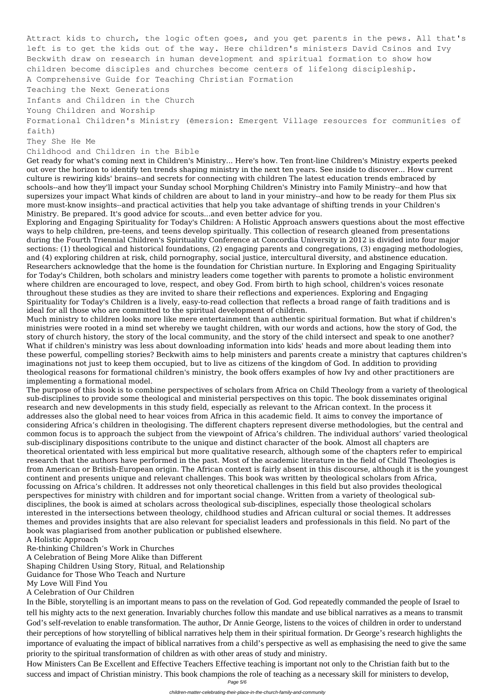Attract kids to church, the logic often goes, and you get parents in the pews. All that's left is to get the kids out of the way. Here children's ministers David Csinos and Ivy Beckwith draw on research in human development and spiritual formation to show how children become disciples and churches become centers of lifelong discipleship. A Comprehensive Guide for Teaching Christian Formation Teaching the Next Generations Infants and Children in the Church Young Children and Worship Formational Children's Ministry (ēmersion: Emergent Village resources for communities of faith) They She He Me

Childhood and Children in the Bible

Get ready for what's coming next in Children's Ministry... Here's how. Ten front-line Children's Ministry experts peeked out over the horizon to identify ten trends shaping ministry in the next ten years. See inside to discover... How current culture is rewiring kids' brains--and secrets for connecting with children The latest education trends embraced by schools--and how they'll impact your Sunday school Morphing Children's Ministry into Family Ministry--and how that supersizes your impact What kinds of children are about to land in your ministry--and how to be ready for them Plus six more must-know insights--and practical activities that help you take advantage of shifting trends in your Children's Ministry. Be prepared. It's good advice for scouts...and even better advice for you.

Exploring and Engaging Spirituality for Today's Children: A Holistic Approach answers questions about the most effective ways to help children, pre-teens, and teens develop spiritually. This collection of research gleaned from presentations during the Fourth Triennial Children's Spirituality Conference at Concordia University in 2012 is divided into four major sections: (1) theological and historical foundations, (2) engaging parents and congregations, (3) engaging methodologies, and (4) exploring children at risk, child pornography, social justice, intercultural diversity, and abstinence education. Researchers acknowledge that the home is the foundation for Christian nurture. In Exploring and Engaging Spirituality for Today's Children, both scholars and ministry leaders come together with parents to promote a holistic environment where children are encouraged to love, respect, and obey God. From birth to high school, children's voices resonate throughout these studies as they are invited to share their reflections and experiences. Exploring and Engaging Spirituality for Today's Children is a lively, easy-to-read collection that reflects a broad range of faith traditions and is ideal for all those who are committed to the spiritual development of children.

Much ministry to children looks more like mere entertainment than authentic spiritual formation. But what if children's ministries were rooted in a mind set whereby we taught children, with our words and actions, how the story of God, the story of church history, the story of the local community, and the story of the child intersect and speak to one another? What if children's ministry was less about downloading information into kids' heads and more about leading them into these powerful, compelling stories? Beckwith aims to help ministers and parents create a ministry that captures children's imaginations not just to keep them occupied, but to live as citizens of the kingdom of God. In addition to providing theological reasons for formational children's ministry, the book offers examples of how Ivy and other practitioners are implementing a formational model.

The purpose of this book is to combine perspectives of scholars from Africa on Child Theology from a variety of theological sub-disciplines to provide some theological and ministerial perspectives on this topic. The book disseminates original research and new developments in this study field, especially as relevant to the African context. In the process it addresses also the global need to hear voices from Africa in this academic field. It aims to convey the importance of considering Africa's children in theologising. The different chapters represent diverse methodologies, but the central and common focus is to approach the subject from the viewpoint of Africa's children. The individual authors' varied theological sub-disciplinary dispositions contribute to the unique and distinct character of the book. Almost all chapters are theoretical orientated with less empirical but more qualitative research, although some of the chapters refer to empirical research that the authors have performed in the past. Most of the academic literature in the field of Child Theologies is from American or British-European origin. The African context is fairly absent in this discourse, although it is the youngest continent and presents unique and relevant challenges. This book was written by theological scholars from Africa, focussing on Africa's children. It addresses not only theoretical challenges in this field but also provides theological perspectives for ministry with children and for important social change. Written from a variety of theological subdisciplines, the book is aimed at scholars across theological sub-disciplines, especially those theological scholars interested in the intersections between theology, childhood studies and African cultural or social themes. It addresses themes and provides insights that are also relevant for specialist leaders and professionals in this field. No part of the book was plagiarised from another publication or published elsewhere. A Holistic Approach Re-thinking Children's Work in Churches A Celebration of Being More Alike than Different Shaping Children Using Story, Ritual, and Relationship Guidance for Those Who Teach and Nurture My Love Will Find You A Celebration of Our Children In the Bible, storytelling is an important means to pass on the revelation of God. God repeatedly commanded the people of Israel to tell his mighty acts to the next generation. Invariably churches follow this mandate and use biblical narratives as a means to transmit God's self-revelation to enable transformation. The author, Dr Annie George, listens to the voices of children in order to understand their perceptions of how storytelling of biblical narratives help them in their spiritual formation. Dr George's research highlights the importance of evaluating the impact of biblical narratives from a child's perspective as well as emphasising the need to give the same priority to the spiritual transformation of children as with other areas of study and ministry. How Ministers Can Be Excellent and Effective Teachers Effective teaching is important not only to the Christian faith but to the success and impact of Christian ministry. This book champions the role of teaching as a necessary skill for ministers to develop,

> Page 5/6 children-matter-celebrating-their-place-in-the-church-family-and-community